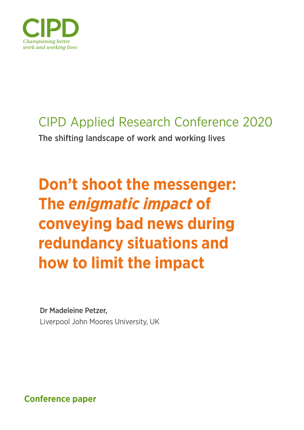

# CIPD Applied Research Conference 2020

The shifting landscape of work and working lives

# **Don't shoot the messenger: The** *enigmatic impact* **of conveying bad news during redundancy situations and how to limit the impact**

# Dr Madeleine Petzer,

Liverpool John Moores University, UK

**Conference paper**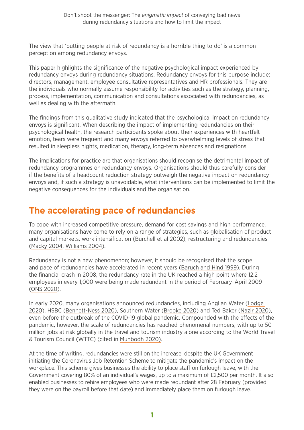The view that 'putting people at risk of redundancy is a horrible thing to do' is a common perception among redundancy envoys.

This paper highlights the significance of the negative psychological impact experienced by redundancy envoys during redundancy situations. Redundancy envoys for this purpose include: directors, management, employee consultative representatives and HR professionals. They are the individuals who normally assume responsibility for activities such as the strategy, planning, process, implementation, communication and consultations associated with redundancies, as well as dealing with the aftermath.

The findings from this qualitative study indicated that the psychological impact on redundancy envoys is significant. When describing the impact of implementing redundancies on their psychological health, the research participants spoke about their experiences with heartfelt emotion, tears were frequent and many envoys referred to overwhelming levels of stress that resulted in sleepless nights, medication, therapy, long-term absences and resignations.

The implications for practice are that organisations should recognise the detrimental impact of redundancy programmes on redundancy envoys. Organisations should thus carefully consider if the benefits of a headcount reduction strategy outweigh the negative impact on redundancy envoys and, if such a strategy is unavoidable, what interventions can be implemented to limit the negative consequences for the individuals and the organisation.

### **The accelerating pace of redundancies**

To cope with increased competitive pressure, demand for cost savings and high performance, many organisations have come to rely on a range of strategies, such as globalisation of product and capital markets, work intensification ([Burchell et al 2002\)](https://westminsterresearch.westminster.ac.uk/item/q9547/job-insecurity-and-work-intensification-flexibility-and-the-changing-boundaries-of-work), restructuring and redundancies [\(Macky 2004](https://www.researchgate.net/publication/262014215_Organisational_Downsizing_and_Redundancies_The_New_Zealand_Workers_Experience), [Williams 2004](https://eric.ed.gov/?id=EJ873220)).

Redundancy is not a new phenomenon; however, it should be recognised that the scope and pace of redundancies have accelerated in recent years ([Baruch and Hind 1999\)](https://www.tandfonline.com/doi/abs/10.1080/135943299398375). During the financial crash in 2008, the redundancy rate in the UK reached a high point where 12.2 employees in every 1,000 were being made redundant in the period of February–April 2009 [\(ONS 2020](https://www.ons.gov.uk/employmentandlabourmarket/peoplenotinwork/redundancies/timeseries/beir/lms)).

In early 2020, many organisations announced redundancies, including Anglian Water [\(Lodge](https://www.lincolnshirelive.co.uk/news/local-news/anglian-water-jobs-risk-lincoln-3917497)  [2020\)](https://www.lincolnshirelive.co.uk/news/local-news/anglian-water-jobs-risk-lincoln-3917497), HSBC ([Bennett-Ness 2020\)](https://www.newsshopper.co.uk/news/18260442.jobs-risk-hsbc-bank-announces-closure-greenwich-branch/), Southern Water ([Brooke 2020\)](https://www.theargus.co.uk/news/18314215.dozens-jobs-risk-southern-water/) and Ted Baker [\(Nazir 2020](https://www.retailgazette.co.uk/blog/2020/02/160-jobs-risk-ted-baker-announces-shake/)), even before the outbreak of the COVID-19 global pandemic. Compounded with the effects of the pandemic, however, the scale of redundancies has reached phenomenal numbers, with up to 50 million jobs at risk globally in the travel and tourism industry alone according to the World Travel & Tourism Council (WTTC) (cited in [Munbodh 2020\)](https://www.mirror.co.uk/money/coronavirus-50million-travel-jobs-risk-21686564).

At the time of writing, redundancies were still on the increase, despite the UK Government initiating the Coronavirus Job Retention Scheme to mitigate the pandemic's impact on the workplace. This scheme gives businesses the ability to place staff on furlough leave, with the Government covering 80% of an individual's wages, up to a maximum of £2,500 per month. It also enabled businesses to rehire employees who were made redundant after 28 February (provided they were on the payroll before that date) and immediately place them on furlough leave.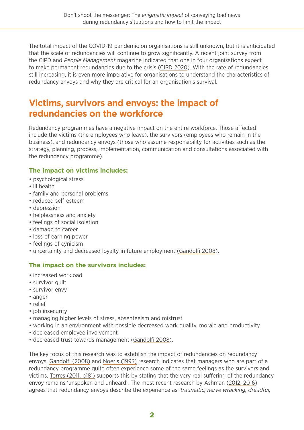The total impact of the COVID-19 pandemic on organisations is still unknown, but it is anticipated that the scale of redundancies will continue to grow significantly. A recent joint survey from the CIPD and *People Management* magazine indicated that one in four organisations expect to make permanent redundancies due to the crisis ([CIPD 2020](https://www.cipd.co.uk/about/media/press/redundancies-coronavirus)). With the rate of redundancies still increasing, it is even more imperative for organisations to understand the characteristics of redundancy envoys and why they are critical for an organisation's survival.

### **Victims, survivors and envoys: the impact of redundancies on the workforce**

Redundancy programmes have a negative impact on the entire workforce. Those affected include the victims (the employees who leave), the survivors (employees who remain in the business), and redundancy envoys (those who assume responsibility for activities such as the strategy, planning, process, implementation, communication and consultations associated with the redundancy programme).

#### **The impact on victims includes:**

- psychological stress
- ill health
- family and personal problems
- reduced self-esteem
- depression
- helplessness and anxiety
- feelings of social isolation
- damage to career
- loss of earning power
- feelings of cynicism
- uncertainty and decreased loyalty in future employment [\(Gandolfi 2008](http://www.jaabc.com/jaabcv13n1preview.html)).

#### **The impact on the survivors includes:**

- increased workload
- survivor quilt
- survivor envy
- anger
- relief
- job insecurity
- managing higher levels of stress, absenteeism and mistrust
- working in an environment with possible decreased work quality, morale and productivity
- decreased employee involvement
- decreased trust towards management [\(Gandolfi 2008](http://www.jaabc.com/jaabcv13n1preview.html)).

The key focus of this research was to establish the impact of redundancies on redundancy envoys. [Gandolfi \(2008\)](http://www.jaabc.com/jaabcv13n1preview.html) and [Noer's \(1993\)](https://cmc.marmot.org/Record/.b16208262) research indicates that managers who are part of a redundancy programme quite often experience some of the same feelings as the survivors and victims. [Torres \(2011, p181\)](https://www.oliviertorres.net/travaux/pdf/thesilentandshamefull_torres_2011.pdf) supports this by stating that the very real suffering of the redundancy envoy remains 'unspoken and unheard'. The most recent research by Ashman [\(2012,](https://archive.acas.org.uk/media/3457/Downsizing-envoys-A-publicprivate-sector-comparison/pdf/Downsizing-envoys-a-public-private-sector-comparison-accessible-version.pdf) [2016\)](https://link.springer.com/chapter/10.1057/978-1-137-51560-5_1) agrees that redundancy envoys describe the experience as *'traumatic, nerve wracking, dreadful,*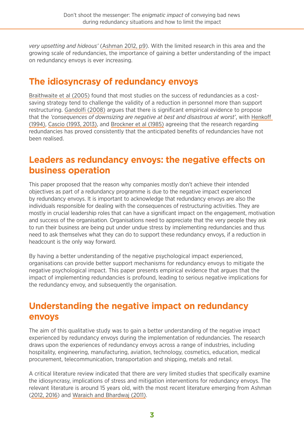*very upsetting and hideous'* [\(Ashman 2012, p9](https://archive.acas.org.uk/media/3457/Downsizing-envoys-A-publicprivate-sector-comparison/pdf/Downsizing-envoys-a-public-private-sector-comparison-accessible-version.pdf)). With the limited research in this area and the growing scale of redundancies, the importance of gaining a better understanding of the impact on redundancy envoys is ever increasing.

### **The idiosyncrasy of redundancy envoys**

[Braithwaite et al \(2005\)](https://www.ncbi.nlm.nih.gov/pmc/articles/PMC1299338/) found that most studies on the success of redundancies as a costsaving strategy tend to challenge the validity of a reduction in personnel more than support restructuring. [Gandolfi \(2008\)](http://www.jaabc.com/jaabcv13n1preview.html) argues that there is significant empirical evidence to propose that the *'consequences of downsizing are negative at best and disastrous at worst'*, with [Henkoff](https://archive.fortune.com/magazines/fortune/fortune_archive/1994/01/10/78843/index.htm)  [\(1994\),](https://archive.fortune.com/magazines/fortune/fortune_archive/1994/01/10/78843/index.htm) [Cascio \(1993, 2013\),](https://www.researchgate.net/publication/297499954_Downsizing_Is_less_still_more) and [Brockner et al \(1985\)](https://econpapers.repec.org/article/eeejobhdp/v_3a36_3ay_3a1985_3ai_3a2_3ap_3a229-244.htm) agreeing that the research regarding redundancies has proved consistently that the anticipated benefits of redundancies have not been realised.

### **Leaders as redundancy envoys: the negative effects on business operation**

This paper proposed that the reason why companies mostly don't achieve their intended objectives as part of a redundancy programme is due to the negative impact experienced by redundancy envoys. It is important to acknowledge that redundancy envoys are also the individuals responsible for dealing with the consequences of restructuring activities. They are mostly in crucial leadership roles that can have a significant impact on the engagement, motivation and success of the organisation. Organisations need to appreciate that the very people they ask to run their business are being put under undue stress by implementing redundancies and thus need to ask themselves what they can do to support these redundancy envoys, if a reduction in headcount is the only way forward.

By having a better understanding of the negative psychological impact experienced, organisations can provide better support mechanisms for redundancy envoys to mitigate the negative psychological impact. This paper presents empirical evidence that argues that the impact of implementing redundancies is profound, leading to serious negative implications for the redundancy envoy, and subsequently the organisation.

### **Understanding the negative impact on redundancy envoys**

The aim of this qualitative study was to gain a better understanding of the negative impact experienced by redundancy envoys during the implementation of redundancies. The research draws upon the experiences of redundancy envoys across a range of industries, including hospitality, engineering, manufacturing, aviation, technology, cosmetics, education, medical procurement, telecommunication, transportation and shipping, metals and retail.

A critical literature review indicated that there are very limited studies that specifically examine the idiosyncrasy, implications of stress and mitigation interventions for redundancy envoys. The relevant literature is around 15 years old, with the most recent literature emerging from Ashman [\(2012,](https://archive.acas.org.uk/media/3457/Downsizing-envoys-A-publicprivate-sector-comparison/pdf/Downsizing-envoys-a-public-private-sector-comparison-accessible-version.pdf) [2016\)](https://link.springer.com/chapter/10.1057/978-1-137-51560-5_1) and [Waraich and Bhardwaj \(2011\).](https://search.proquest.com/openview/fbfbd35486758b0356de01314cb4f39b/1?pq-origsite=gscholar&cbl=40946)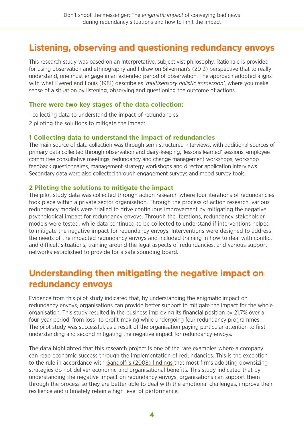### **Listening, observing and questioning redundancy envoys**

This research study was based on an interpretative, subjectivist philosophy. Rationale is provided for using observation and ethnography and I draw on [Silverman's \(2013\)](https://www.researchgate.net/publication/279187183_Doing_Qualitative_Research_A_Practical) perspective that to really understand, one must engage in an extended period of observation. The approach adopted aligns with what [Evered and Louis \(1981\)](https://www.jstor.org/stable/257374?seq=1) describe as *'multisensory holistic immersion'*, where you make sense of a situation by listening, observing and questioning the outcome of actions.

#### **There were two key stages of the data collection:**

1 collecting data to understand the impact of redundancies 2 piloting the solutions to mitigate the impact.

#### **1 Collecting data to understand the impact of redundancies**

The main source of data collection was through semi-structured interviews, with additional sources of primary data collected through observation and diary-keeping, 'lessons learned' sessions, employee committee consultative meetings, redundancy and change management workshops, workshop feedback questionnaires, management strategy workshops and director application interviews. Secondary data were also collected through engagement surveys and mood survey tools.

#### **2 Piloting the solutions to mitigate the impact**

The pilot study data was collected through action research where four iterations of redundancies took place within a private sector organisation. Through the process of action research, various redundancy models were trialled to drive continuous improvement by mitigating the negative psychological impact for redundancy envoys. Through the iterations, redundancy stakeholder models were tested, while data continued to be collected to understand if interventions helped to mitigate the negative impact for redundancy envoys. Interventions were designed to address the needs of the impacted redundancy envoys and included training in how to deal with conflict and difficult situations, training around the legal aspects of redundancies, and various support networks established to provide for a safe sounding board.

### **Understanding then mitigating the negative impact on redundancy envoys**

Evidence from this pilot study indicated that, by understanding the enigmatic impact on redundancy envoys, organisations can provide better support to mitigate the impact for the whole organisation. This study resulted in the business improving its financial position by 21.7% over a four-year period, from loss- to profit-making while undergoing four redundancy programmes. The pilot study was successful, as a result of the organisation paying particular attention to first understanding and second mitigating the negative impact for redundancy envoys.

The data highlighted that this research project is one of the rare examples where a company can reap economic success through the implementation of redundancies. This is the exception to the rule in accordance with [Gandolfi's \(2008\) findings](http://www.jaabc.com/jaabcv13n1preview.html) that most firms adopting downsizing strategies do not deliver economic and organisational benefits. This study indicated that by understanding the negative impact on redundancy envoys, organisations can support them through the process so they are better able to deal with the emotional challenges, improve their resilience and ultimately retain a high level of performance.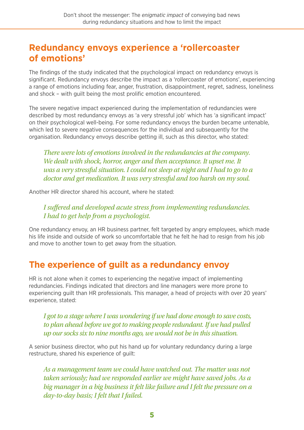### **Redundancy envoys experience a 'rollercoaster of emotions'**

The findings of the study indicated that the psychological impact on redundancy envoys is significant. Redundancy envoys describe the impact as a 'rollercoaster of emotions', experiencing a range of emotions including fear, anger, frustration, disappointment, regret, sadness, loneliness and shock – with guilt being the most prolific emotion encountered.

The severe negative impact experienced during the implementation of redundancies were described by most redundancy envoys as 'a very stressful job' which has 'a significant impact' on their psychological well-being. For some redundancy envoys the burden became untenable, which led to severe negative consequences for the individual and subsequently for the organisation. Redundancy envoys describe getting ill, such as this director, who stated:

*There were lots of emotions involved in the redundancies at the company.*  We dealt with shock, horror, anger and then acceptance. It upset me. It *was a very stressful situation. I could not sleep at night and I had to go to a doctor and get medication. It was very stressful and too harsh on my soul.* 

Another HR director shared his account, where he stated:

*I suffered and developed acute stress from implementing redundancies. I had to get help from a psychologist.*

One redundancy envoy, an HR business partner, felt targeted by angry employees, which made his life inside and outside of work so uncomfortable that he felt he had to resign from his job and move to another town to get away from the situation.

### **The experience of guilt as a redundancy envoy**

HR is not alone when it comes to experiencing the negative impact of implementing redundancies. Findings indicated that directors and line managers were more prone to experiencing guilt than HR professionals. This manager, a head of projects with over 20 years' experience, stated:

*I got to a stage where I was wondering if we had done enough to save costs, to plan ahead before we got to making people redundant. If we had pulled up our socks six to nine months ago, we would not be in this situation.*

A senior business director, who put his hand up for voluntary redundancy during a large restructure, shared his experience of guilt:

*As a management team we could have watched out. The matter was not taken seriously; had we responded earlier we might have saved jobs. As a big manager in a big business it felt like failure and I felt the pressure on a day-to-day basis; I felt that I failed.*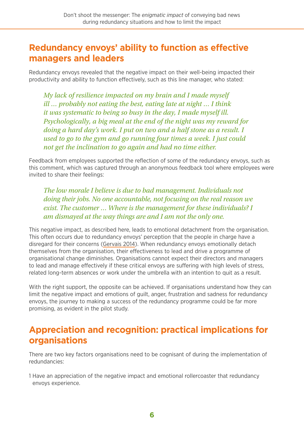### **Redundancy envoys' ability to function as effective managers and leaders**

Redundancy envoys revealed that the negative impact on their well-being impacted their productivity and ability to function effectively, such as this line manager, who stated:

*My lack of resilience impacted on my brain and I made myself ill … probably not eating the best, eating late at night … I think it was systematic to being so busy in the day, I made myself ill. Psychologically, a big meal at the end of the night was my reward for doing a hard day's work. I put on two and a half stone as a result. I used to go to the gym and go running four times a week. I just could not get the inclination to go again and had no time either.*

Feedback from employees supported the reflection of some of the redundancy envoys, such as this comment, which was captured through an anonymous feedback tool where employees were invited to share their feelings:

*The low morale I believe is due to bad management. Individuals not doing their jobs. No one accountable, not focusing on the real reason we exist. The customer … Where is the management for these individuals? I am dismayed at the way things are and I am not the only one.*

This negative impact, as described here, leads to emotional detachment from the organisation. This often occurs due to redundancy envoys' perception that the people in charge have a disregard for their concerns [\(Gervais 2014](https://shop.bps.org.uk/publications/publication-by-series/assessment-and-development-matters/assessment-development-matters-vol-6-no-3-autumn-2014.html)). When redundancy envoys emotionally detach themselves from the organisation, their effectiveness to lead and drive a programme of organisational change diminishes. Organisations cannot expect their directors and managers to lead and manage effectively if these critical envoys are suffering with high levels of stress, related long-term absences or work under the umbrella with an intention to quit as a result.

With the right support, the opposite can be achieved. If organisations understand how they can limit the negative impact and emotions of guilt, anger, frustration and sadness for redundancy envoys, the journey to making a success of the redundancy programme could be far more promising, as evident in the pilot study.

### **Appreciation and recognition: practical implications for organisations**

There are two key factors organisations need to be cognisant of during the implementation of redundancies:

1 Have an appreciation of the negative impact and emotional rollercoaster that redundancy envoys experience.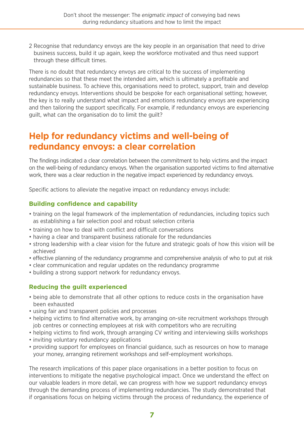2 Recognise that redundancy envoys are the key people in an organisation that need to drive business success, build it up again, keep the workforce motivated and thus need support through these difficult times.

There is no doubt that redundancy envoys are critical to the success of implementing redundancies so that these meet the intended aim, which is ultimately a profitable and sustainable business. To achieve this, organisations need to protect, support, train and develop redundancy envoys. Interventions should be bespoke for each organisational setting; however, the key is to really understand what impact and emotions redundancy envoys are experiencing and then tailoring the support specifically. For example, if redundancy envoys are experiencing guilt, what can the organisation do to limit the guilt?

### **Help for redundancy victims and well-being of redundancy envoys: a clear correlation**

The findings indicated a clear correlation between the commitment to help victims and the impact on the well-being of redundancy envoys. When the organisation supported victims to find alternative work, there was a clear reduction in the negative impact experienced by redundancy envoys.

Specific actions to alleviate the negative impact on redundancy envoys include:

#### **Building confidence and capability**

- training on the legal framework of the implementation of redundancies, including topics such as establishing a fair selection pool and robust selection criteria
- training on how to deal with conflict and difficult conversations
- having a clear and transparent business rationale for the redundancies
- strong leadership with a clear vision for the future and strategic goals of how this vision will be achieved
- effective planning of the redundancy programme and comprehensive analysis of who to put at risk
- clear communication and regular updates on the redundancy programme
- building a strong support network for redundancy envoys.

#### **Reducing the guilt experienced**

- being able to demonstrate that all other options to reduce costs in the organisation have been exhausted
- using fair and transparent policies and processes
- helping victims to find alternative work, by arranging on-site recruitment workshops through job centres or connecting employees at risk with competitors who are recruiting
- helping victims to find work, through arranging CV writing and interviewing skills workshops
- inviting voluntary redundancy applications
- providing support for employees on financial guidance, such as resources on how to manage your money, arranging retirement workshops and self-employment workshops.

The research implications of this paper place organisations in a better position to focus on interventions to mitigate the negative psychological impact. Once we understand the effect on our valuable leaders in more detail, we can progress with how we support redundancy envoys through the demanding process of implementing redundancies. The study demonstrated that if organisations focus on helping victims through the process of redundancy, the experience of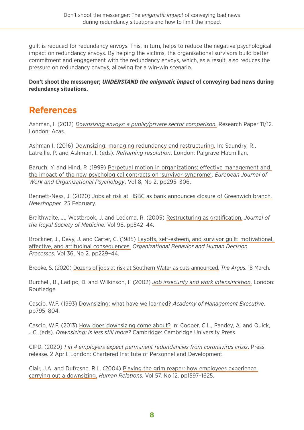guilt is reduced for redundancy envoys. This, in turn, helps to reduce the negative psychological impact on redundancy envoys. By helping the victims, the organisational survivors build better commitment and engagement with the redundancy envoys, which, as a result, also reduces the pressure on redundancy envoys, allowing for a win-win scenario.

**Don't shoot the messenger;** *UNDERSTAND the enigmatic impact* **of conveying bad news during redundancy situations.** 

### **References**

Ashman, I. (2012) *[Downsizing envoys: a public/private sector comparison.](https://archive.acas.org.uk/media/3457/Downsizing-envoys-A-publicprivate-sector-comparison/pdf/Downsizing-envoys-a-public-private-sector-comparison-accessible-version.pdf)* Research Paper 11/12. London: Acas.

[Ashman I. \(2016\) Downsizing: managing redundancy and restructuring. In: Saundry, R.,](https://link.springer.com/chapter/10.1057/978-1-137-51560-5_1)  [Latreille, P. and Ashman, I. \(eds\).](https://link.springer.com/chapter/10.1057/978-1-137-51560-5_1) *Reframing resolution*. London: Palgrave Macmillan.

[Baruch, Y. and Hind, P. \(1999\) Perpetual motion in organizations: effective management and](https://www.tandfonline.com/doi/abs/10.1080/135943299398375)  [the impact of the new psychological contracts on 'survivor syndrome'.](https://www.tandfonline.com/doi/abs/10.1080/135943299398375) *European Journal of [Work and Organizational Psychology](https://www.tandfonline.com/doi/abs/10.1080/135943299398375)*. Vol 8, No 2. pp295–306.

[Bennett-Ness, J. \(2020\) Jobs at risk at HSBC as bank announces closure of Greenwich branch.](https://www.newsshopper.co.uk/news/18260442.jobs-risk-hsbc-bank-announces-closure-greenwich-branch/) *Newshopper*[. 25 February.](https://www.newsshopper.co.uk/news/18260442.jobs-risk-hsbc-bank-announces-closure-greenwich-branch/)

[Braithwaite, J., Westbrook, J. and Ledema, R. \(2005\) Restructuring as gratification.](https://www.ncbi.nlm.nih.gov/pmc/articles/PMC1299338/) *Journal of [the Royal Society of Medicine](https://www.ncbi.nlm.nih.gov/pmc/articles/PMC1299338/)*. Vol 98. pp542–44.

[Brockner, J., Davy, J. and Carter, C. \(1985\) Layoffs, self-esteem, and survivor guilt: motivational,](https://econpapers.repec.org/article/eeejobhdp/v_3a36_3ay_3a1985_3ai_3a2_3ap_3a229-244.htm)  affective, and attitudinal consequences. *[Organizational Behavior and Human Decision](https://econpapers.repec.org/article/eeejobhdp/v_3a36_3ay_3a1985_3ai_3a2_3ap_3a229-244.htm)  Processes*[. Vol 36, No 2. pp229–44.](https://econpapers.repec.org/article/eeejobhdp/v_3a36_3ay_3a1985_3ai_3a2_3ap_3a229-244.htm)

[Brooke, S. \(2020\) Dozens of jobs at risk at Southern Water as cuts announced.](https://www.theargus.co.uk/news/18314215.dozens-jobs-risk-southern-water/) *The Argus*. 18 March.

[Burchell, B., Ladipo, D. and Wilkinson, F \(2002\)](https://westminsterresearch.westminster.ac.uk/item/q9547/job-insecurity-and-work-intensification-flexibility-and-the-changing-boundaries-of-work) *Job insecurity and work intensification*. London: [Routledge.](https://westminsterresearch.westminster.ac.uk/item/q9547/job-insecurity-and-work-intensification-flexibility-and-the-changing-boundaries-of-work)

[Cascio, W.F. \(1993\) Downsizing: what have we learned?](https://www.jstor.org/stable/4165111?Search=yes&resultItemClick=true&searchText=Cascio&searchUri=%2Faction%2FdoBasicSearch%3FQuery%3DCascio%26amp%3Bfilter%3Djid%253A10.2307%252Fj101408&ab_segments=0%2Fbasic_SYC-5152%2Fcontrol&refreqid=search%3Acf5abac348d05c818648125e165cb3f3&seq=1) *Academy of Management Executive*. [pp795–804.](https://www.jstor.org/stable/4165111?Search=yes&resultItemClick=true&searchText=Cascio&searchUri=%2Faction%2FdoBasicSearch%3FQuery%3DCascio%26amp%3Bfilter%3Djid%253A10.2307%252Fj101408&ab_segments=0%2Fbasic_SYC-5152%2Fcontrol&refreqid=search%3Acf5abac348d05c818648125e165cb3f3&seq=1)

[Cascio, W.F. \(2013\) How does downsizing come about? In: Cooper, C.L., Pandey, A. and Quick,](https://www.researchgate.net/publication/297499954_Downsizing_Is_less_still_more)  J.C. (eds). *Downsizing: is less still more?* [Cambridge: Cambridge University Press](https://www.researchgate.net/publication/297499954_Downsizing_Is_less_still_more)

CIPD. (2020) *[1 in 4 employers expect permanent redundancies from coronavirus crisis](https://www.cipd.co.uk/about/media/press/redundancies-coronavirus)*. Press release. 2 April. London: Chartered Institute of Personnel and Development.

[Clair, J.A. and Dufresne, R.L. \(2004\) Playing the grim reaper: how employees experience](https://journals.sagepub.com/doi/abs/10.1177/0018726704049991)  carrying out a downsizing. *Human Relations*[. Vol 57, No 12. pp1597–1625.](https://journals.sagepub.com/doi/abs/10.1177/0018726704049991)